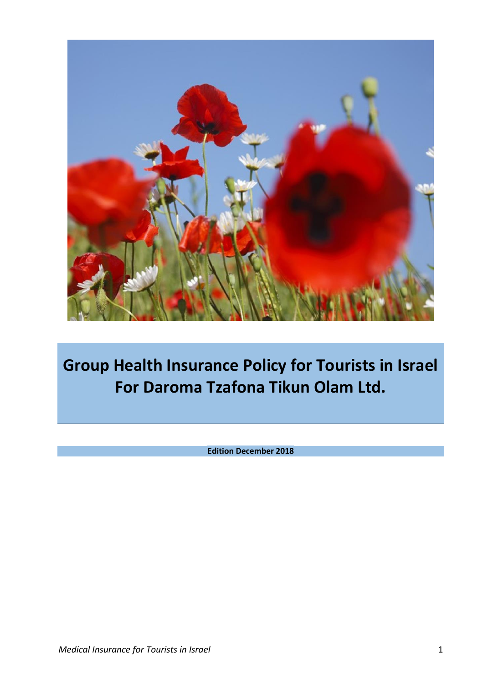

**Group Health Insurance Policy for Tourists in Israel For Daroma Tzafona Tikun Olam Ltd.**

**Edition December 2018**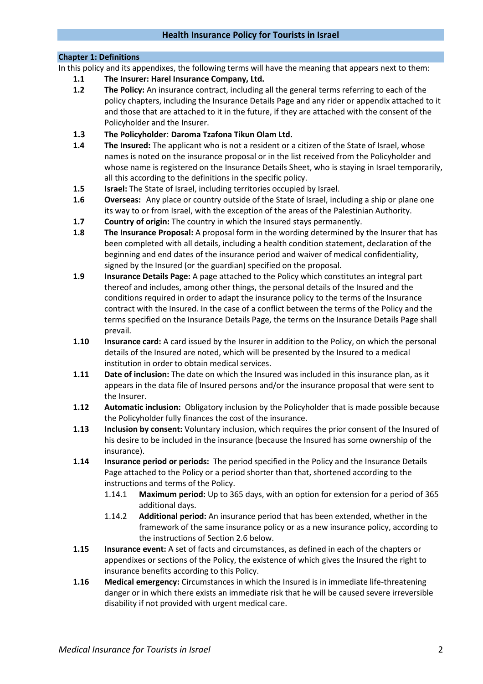#### **Chapter 1: Definitions**

In this policy and its appendixes, the following terms will have the meaning that appears next to them:

- **1.1 The Insurer: Harel Insurance Company, Ltd.**
- **1.2 The Policy:** An insurance contract, including all the general terms referring to each of the policy chapters, including the Insurance Details Page and any rider or appendix attached to it and those that are attached to it in the future, if they are attached with the consent of the Policyholder and the Insurer.
- **1.3 The Policyholder**: **Daroma Tzafona Tikun Olam Ltd.**
- **1.4 The Insured:** The applicant who is not a resident or a citizen of the State of Israel, whose names is noted on the insurance proposal or in the list received from the Policyholder and whose name is registered on the Insurance Details Sheet, who is staying in Israel temporarily, all this according to the definitions in the specific policy.
- **1.5 Israel:** The State of Israel, including territories occupied by Israel.
- **1.6 Overseas:** Any place or country outside of the State of Israel, including a ship or plane one its way to or from Israel, with the exception of the areas of the Palestinian Authority.
- **1.7 Country of origin:** The country in which the Insured stays permanently.
- **1.8 The Insurance Proposal:** A proposal form in the wording determined by the Insurer that has been completed with all details, including a health condition statement, declaration of the beginning and end dates of the insurance period and waiver of medical confidentiality, signed by the Insured (or the guardian) specified on the proposal.
- **1.9 Insurance Details Page:** A page attached to the Policy which constitutes an integral part thereof and includes, among other things, the personal details of the Insured and the conditions required in order to adapt the insurance policy to the terms of the Insurance contract with the Insured. In the case of a conflict between the terms of the Policy and the terms specified on the Insurance Details Page, the terms on the Insurance Details Page shall prevail.
- **1.10 Insurance card:** A card issued by the Insurer in addition to the Policy, on which the personal details of the Insured are noted, which will be presented by the Insured to a medical institution in order to obtain medical services.
- **1.11 Date of inclusion:** The date on which the Insured was included in this insurance plan, as it appears in the data file of Insured persons and/or the insurance proposal that were sent to the Insurer.
- **1.12 Automatic inclusion:** Obligatory inclusion by the Policyholder that is made possible because the Policyholder fully finances the cost of the insurance.
- **1.13 Inclusion by consent:** Voluntary inclusion, which requires the prior consent of the Insured of his desire to be included in the insurance (because the Insured has some ownership of the insurance).
- <span id="page-1-0"></span>**1.14 Insurance period or periods:** The period specified in the Policy and the Insurance Details Page attached to the Policy or a period shorter than that, shortened according to the instructions and terms of the Policy.
	- 1.14.1 **Maximum period:** Up to 365 days, with an option for extension for a period of 365 additional days.
	- 1.14.2 **Additional period:** An insurance period that has been extended, whether in the framework of the same insurance policy or as a new insurance policy, according to the instructions of Section 2.6 below.
- **1.15 Insurance event:** A set of facts and circumstances, as defined in each of the chapters or appendixes or sections of the Policy, the existence of which gives the Insured the right to insurance benefits according to this Policy.
- **1.16 Medical emergency:** Circumstances in which the Insured is in immediate life-threatening danger or in which there exists an immediate risk that he will be caused severe irreversible disability if not provided with urgent medical care.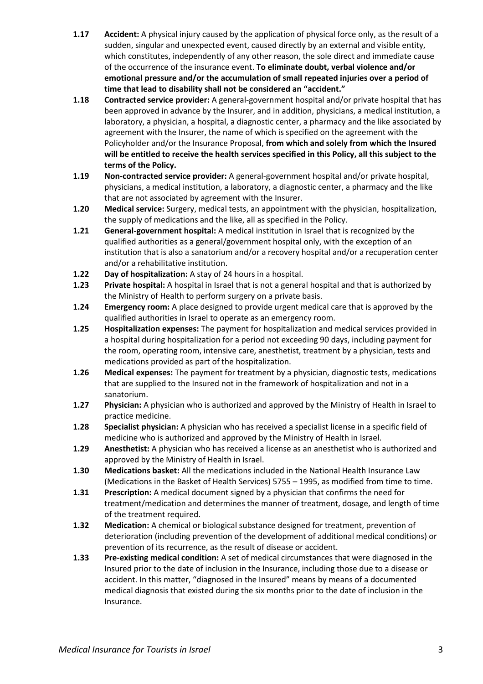- **1.17 Accident:** A physical injury caused by the application of physical force only, as the result of a sudden, singular and unexpected event, caused directly by an external and visible entity, which constitutes, independently of any other reason, the sole direct and immediate cause of the occurrence of the insurance event. **To eliminate doubt, verbal violence and/or emotional pressure and/or the accumulation of small repeated injuries over a period of time that lead to disability shall not be considered an "accident."**
- **1.18 Contracted service provider:** A general-government hospital and/or private hospital that has been approved in advance by the Insurer, and in addition, physicians, a medical institution, a laboratory, a physician, a hospital, a diagnostic center, a pharmacy and the like associated by agreement with the Insurer, the name of which is specified on the agreement with the Policyholder and/or the Insurance Proposal, **from which and solely from which the Insured will be entitled to receive the health services specified in this Policy, all this subject to the terms of the Policy.**
- **1.19 Non-contracted service provider:** A general-government hospital and/or private hospital, physicians, a medical institution, a laboratory, a diagnostic center, a pharmacy and the like that are not associated by agreement with the Insurer.
- **1.20 Medical service:** Surgery, medical tests, an appointment with the physician, hospitalization, the supply of medications and the like, all as specified in the Policy.
- **1.21 General-government hospital:** A medical institution in Israel that is recognized by the qualified authorities as a general/government hospital only, with the exception of an institution that is also a sanatorium and/or a recovery hospital and/or a recuperation center and/or a rehabilitative institution.
- **1.22 Day of hospitalization:** A stay of 24 hours in a hospital.
- **1.23 Private hospital:** A hospital in Israel that is not a general hospital and that is authorized by the Ministry of Health to perform surgery on a private basis.
- **1.24 Emergency room:** A place designed to provide urgent medical care that is approved by the qualified authorities in Israel to operate as an emergency room.
- **1.25 Hospitalization expenses:** The payment for hospitalization and medical services provided in a hospital during hospitalization for a period not exceeding 90 days, including payment for the room, operating room, intensive care, anesthetist, treatment by a physician, tests and medications provided as part of the hospitalization.
- **1.26 Medical expenses:** The payment for treatment by a physician, diagnostic tests, medications that are supplied to the Insured not in the framework of hospitalization and not in a sanatorium.
- **1.27 Physician:** A physician who is authorized and approved by the Ministry of Health in Israel to practice medicine.
- **1.28 Specialist physician:** A physician who has received a specialist license in a specific field of medicine who is authorized and approved by the Ministry of Health in Israel.
- **1.29 Anesthetist:** A physician who has received a license as an anesthetist who is authorized and approved by the Ministry of Health in Israel.
- **1.30 Medications basket:** All the medications included in the National Health Insurance Law (Medications in the Basket of Health Services) 5755 – 1995, as modified from time to time.
- **1.31 Prescription:** A medical document signed by a physician that confirms the need for treatment/medication and determines the manner of treatment, dosage, and length of time of the treatment required.
- **1.32 Medication:** A chemical or biological substance designed for treatment, prevention of deterioration (including prevention of the development of additional medical conditions) or prevention of its recurrence, as the result of disease or accident.
- **1.33 Pre-existing medical condition:** A set of medical circumstances that were diagnosed in the Insured prior to the date of inclusion in the Insurance, including those due to a disease or accident. In this matter, "diagnosed in the Insured" means by means of a documented medical diagnosis that existed during the six months prior to the date of inclusion in the Insurance.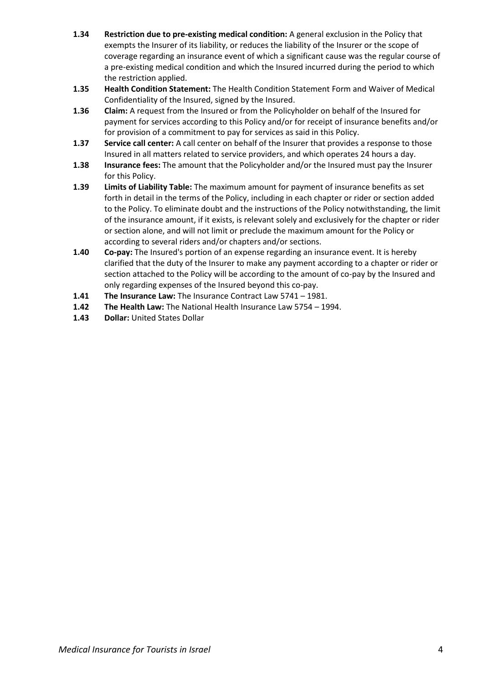- **1.34 Restriction due to pre-existing medical condition:** A general exclusion in the Policy that exempts the Insurer of its liability, or reduces the liability of the Insurer or the scope of coverage regarding an insurance event of which a significant cause was the regular course of a pre-existing medical condition and which the Insured incurred during the period to which the restriction applied.
- **1.35 Health Condition Statement:** The Health Condition Statement Form and Waiver of Medical Confidentiality of the Insured, signed by the Insured.
- **1.36 Claim:** A request from the Insured or from the Policyholder on behalf of the Insured for payment for services according to this Policy and/or for receipt of insurance benefits and/or for provision of a commitment to pay for services as said in this Policy.
- **1.37 Service call center:** A call center on behalf of the Insurer that provides a response to those Insured in all matters related to service providers, and which operates 24 hours a day.
- **1.38 Insurance fees:** The amount that the Policyholder and/or the Insured must pay the Insurer for this Policy.
- **1.39 Limits of Liability Table:** The maximum amount for payment of insurance benefits as set forth in detail in the terms of the Policy, including in each chapter or rider or section added to the Policy. To eliminate doubt and the instructions of the Policy notwithstanding, the limit of the insurance amount, if it exists, is relevant solely and exclusively for the chapter or rider or section alone, and will not limit or preclude the maximum amount for the Policy or according to several riders and/or chapters and/or sections.
- **1.40 Co-pay:** The Insured's portion of an expense regarding an insurance event. It is hereby clarified that the duty of the Insurer to make any payment according to a chapter or rider or section attached to the Policy will be according to the amount of co-pay by the Insured and only regarding expenses of the Insured beyond this co-pay.
- **1.41 The Insurance Law:** The Insurance Contract Law 5741 1981.
- **1.42 The Health Law:** The National Health Insurance Law 5754 1994.
- 1.43 **Dollar: United States Dollar**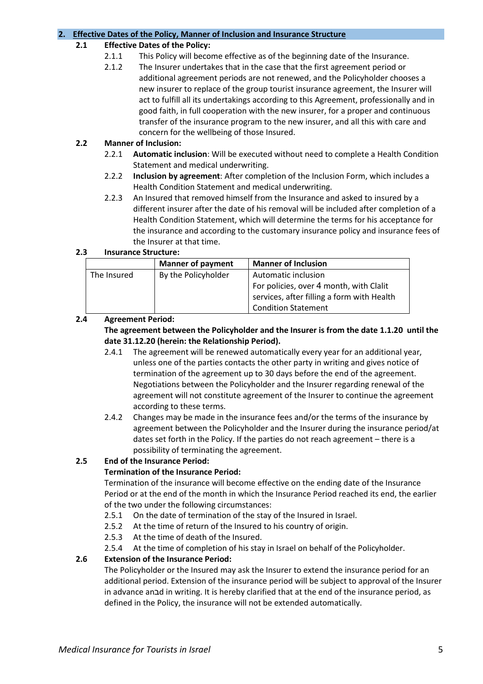### **2. Effective Dates of the Policy, Manner of Inclusion and Insurance Structure**

# **2.1 Effective Dates of the Policy:**

- 2.1.1 This Policy will become effective as of the beginning date of the Insurance.
- 2.1.2 The Insurer undertakes that in the case that the first agreement period or additional agreement periods are not renewed, and the Policyholder chooses a new insurer to replace of the group tourist insurance agreement, the Insurer will act to fulfill all its undertakings according to this Agreement, professionally and in good faith, in full cooperation with the new insurer, for a proper and continuous transfer of the insurance program to the new insurer, and all this with care and concern for the wellbeing of those Insured.

# **2.2 Manner of Inclusion:**

- 2.2.1 **Automatic inclusion**: Will be executed without need to complete a Health Condition Statement and medical underwriting.
- 2.2.2 **Inclusion by agreement**: After completion of the Inclusion Form, which includes a Health Condition Statement and medical underwriting.
- 2.2.3 An Insured that removed himself from the Insurance and asked to insured by a different insurer after the date of his removal will be included after completion of a Health Condition Statement, which will determine the terms for his acceptance for the insurance and according to the customary insurance policy and insurance fees of the Insurer at that time.

# **2.3 Insurance Structure:**

|             | <b>Manner of payment</b>                   | <b>Manner of Inclusion</b>                 |
|-------------|--------------------------------------------|--------------------------------------------|
| The Insured | By the Policyholder<br>Automatic inclusion |                                            |
|             |                                            | For policies, over 4 month, with Clalit    |
|             |                                            | services, after filling a form with Health |
|             |                                            | <b>Condition Statement</b>                 |

# **2.4 Agreement Period:**

**The agreement between the Policyholder and the Insurer is from the date 1.1.20 until the date 31.12.20 (herein: the Relationship Period).**

- 2.4.1 The agreement will be renewed automatically every year for an additional year, unless one of the parties contacts the other party in writing and gives notice of termination of the agreement up to 30 days before the end of the agreement. Negotiations between the Policyholder and the Insurer regarding renewal of the agreement will not constitute agreement of the Insurer to continue the agreement according to these terms.
- 2.4.2 Changes may be made in the insurance fees and/or the terms of the insurance by agreement between the Policyholder and the Insurer during the insurance period/at dates set forth in the Policy. If the parties do not reach agreement – there is a possibility of terminating the agreement.

# **2.5 End of the Insurance Period:**

# **Termination of the Insurance Period:**

Termination of the insurance will become effective on the ending date of the Insurance Period or at the end of the month in which the Insurance Period reached its end, the earlier of the two under the following circumstances:

- 2.5.1 On the date of termination of the stay of the Insured in Israel.
- 2.5.2 At the time of return of the Insured to his country of origin.
- 2.5.3 At the time of death of the Insured.
- 2.5.4 At the time of completion of his stay in Israel on behalf of the Policyholder.

# **2.6 Extension of the Insurance Period:**

The Policyholder or the Insured may ask the Insurer to extend the insurance period for an additional period. Extension of the insurance period will be subject to approval of the Insurer in advance anבd in writing. It is hereby clarified that at the end of the insurance period, as defined in the Policy, the insurance will not be extended automatically.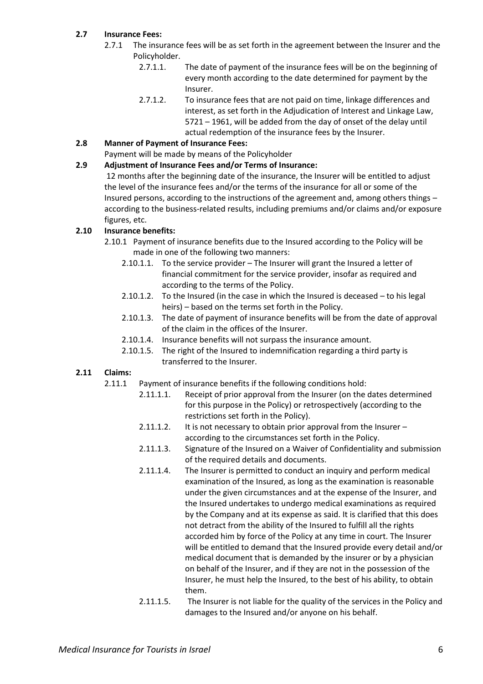# **2.7 Insurance Fees:**

- 2.7.1 The insurance fees will be as set forth in the agreement between the Insurer and the Policyholder.
	- 2.7.1.1. The date of payment of the insurance fees will be on the beginning of every month according to the date determined for payment by the Insurer.
	- 2.7.1.2. To insurance fees that are not paid on time, linkage differences and interest, as set forth in the Adjudication of Interest and Linkage Law, 5721 – 1961, will be added from the day of onset of the delay until actual redemption of the insurance fees by the Insurer.
- **2.8 Manner of Payment of Insurance Fees:**
- Payment will be made by means of the Policyholder
- **2.9 Adjustment of Insurance Fees and/or Terms of Insurance:**

12 months after the beginning date of the insurance, the Insurer will be entitled to adjust the level of the insurance fees and/or the terms of the insurance for all or some of the Insured persons, according to the instructions of the agreement and, among others things – according to the business-related results, including premiums and/or claims and/or exposure figures, etc.

# **2.10 Insurance benefits:**

- 2.10.1 Payment of insurance benefits due to the Insured according to the Policy will be made in one of the following two manners:
	- 2.10.1.1. To the service provider The Insurer will grant the Insured a letter of financial commitment for the service provider, insofar as required and according to the terms of the Policy.
	- 2.10.1.2. To the Insured (in the case in which the Insured is deceased to his legal heirs) – based on the terms set forth in the Policy.
	- 2.10.1.3. The date of payment of insurance benefits will be from the date of approval of the claim in the offices of the Insurer.
	- 2.10.1.4. Insurance benefits will not surpass the insurance amount.
	- 2.10.1.5. The right of the Insured to indemnification regarding a third party is transferred to the Insurer.

# **2.11 Claims:**

- 2.11.1 Payment of insurance benefits if the following conditions hold:
	- 2.11.1.1. Receipt of prior approval from the Insurer (on the dates determined for this purpose in the Policy) or retrospectively (according to the restrictions set forth in the Policy).
	- 2.11.1.2. It is not necessary to obtain prior approval from the Insurer according to the circumstances set forth in the Policy.
	- 2.11.1.3. Signature of the Insured on a Waiver of Confidentiality and submission of the required details and documents.
	- 2.11.1.4. The Insurer is permitted to conduct an inquiry and perform medical examination of the Insured, as long as the examination is reasonable under the given circumstances and at the expense of the Insurer, and the Insured undertakes to undergo medical examinations as required by the Company and at its expense as said. It is clarified that this does not detract from the ability of the Insured to fulfill all the rights accorded him by force of the Policy at any time in court. The Insurer will be entitled to demand that the Insured provide every detail and/or medical document that is demanded by the insurer or by a physician on behalf of the Insurer, and if they are not in the possession of the Insurer, he must help the Insured, to the best of his ability, to obtain them.
	- 2.11.1.5. The Insurer is not liable for the quality of the services in the Policy and damages to the Insured and/or anyone on his behalf.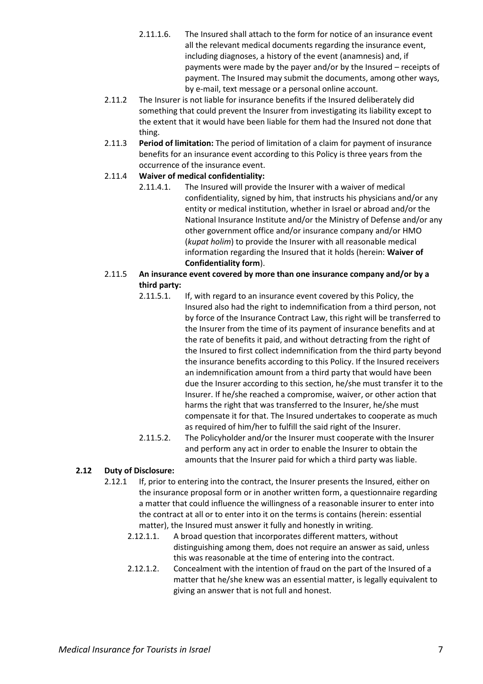- 2.11.1.6. The Insured shall attach to the form for notice of an insurance event all the relevant medical documents regarding the insurance event, including diagnoses, a history of the event (anamnesis) and, if payments were made by the payer and/or by the Insured – receipts of payment. The Insured may submit the documents, among other ways, by e-mail, text message or a personal online account.
- 2.11.2 The Insurer is not liable for insurance benefits if the Insured deliberately did something that could prevent the Insurer from investigating its liability except to the extent that it would have been liable for them had the Insured not done that thing.
- 2.11.3 **Period of limitation:** The period of limitation of a claim for payment of insurance benefits for an insurance event according to this Policy is three years from the occurrence of the insurance event.

# 2.11.4 **Waiver of medical confidentiality:**

2.11.4.1. The Insured will provide the Insurer with a waiver of medical confidentiality, signed by him, that instructs his physicians and/or any entity or medical institution, whether in Israel or abroad and/or the National Insurance Institute and/or the Ministry of Defense and/or any other government office and/or insurance company and/or HMO (*kupat holim*) to provide the Insurer with all reasonable medical information regarding the Insured that it holds (herein: **Waiver of Confidentiality form**).

# 2.11.5 **An insurance event covered by more than one insurance company and/or by a third party:**

- 2.11.5.1. If, with regard to an insurance event covered by this Policy, the Insured also had the right to indemnification from a third person, not by force of the Insurance Contract Law, this right will be transferred to the Insurer from the time of its payment of insurance benefits and at the rate of benefits it paid, and without detracting from the right of the Insured to first collect indemnification from the third party beyond the insurance benefits according to this Policy. If the Insured receivers an indemnification amount from a third party that would have been due the Insurer according to this section, he/she must transfer it to the Insurer. If he/she reached a compromise, waiver, or other action that harms the right that was transferred to the Insurer, he/she must compensate it for that. The Insured undertakes to cooperate as much as required of him/her to fulfill the said right of the Insurer.
- 2.11.5.2. The Policyholder and/or the Insurer must cooperate with the Insurer and perform any act in order to enable the Insurer to obtain the amounts that the Insurer paid for which a third party was liable.

# **2.12 Duty of Disclosure:**

- 2.12.1 If, prior to entering into the contract, the Insurer presents the Insured, either on the insurance proposal form or in another written form, a questionnaire regarding a matter that could influence the willingness of a reasonable insurer to enter into the contract at all or to enter into it on the terms is contains (herein: essential matter), the Insured must answer it fully and honestly in writing.
	- 2.12.1.1. A broad question that incorporates different matters, without distinguishing among them, does not require an answer as said, unless this was reasonable at the time of entering into the contract.
	- 2.12.1.2. Concealment with the intention of fraud on the part of the Insured of a matter that he/she knew was an essential matter, is legally equivalent to giving an answer that is not full and honest.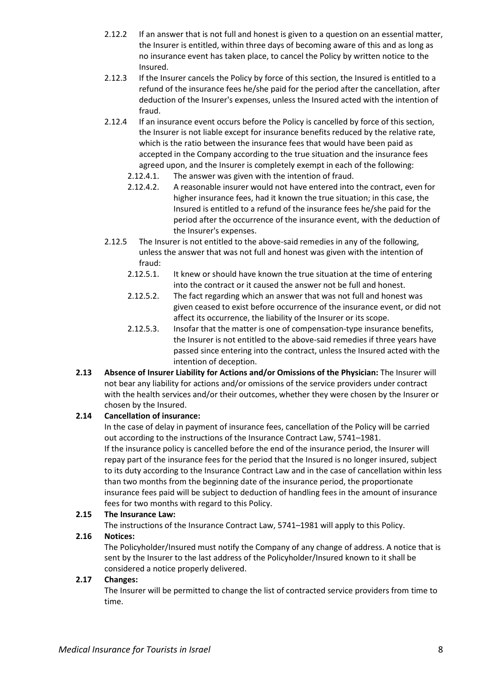- 2.12.2 If an answer that is not full and honest is given to a question on an essential matter, the Insurer is entitled, within three days of becoming aware of this and as long as no insurance event has taken place, to cancel the Policy by written notice to the Insured.
- 2.12.3 If the Insurer cancels the Policy by force of this section, the Insured is entitled to a refund of the insurance fees he/she paid for the period after the cancellation, after deduction of the Insurer's expenses, unless the Insured acted with the intention of fraud.
- 2.12.4 If an insurance event occurs before the Policy is cancelled by force of this section, the Insurer is not liable except for insurance benefits reduced by the relative rate, which is the ratio between the insurance fees that would have been paid as accepted in the Company according to the true situation and the insurance fees agreed upon, and the Insurer is completely exempt in each of the following:
	- 2.12.4.1. The answer was given with the intention of fraud.
	- 2.12.4.2. A reasonable insurer would not have entered into the contract, even for higher insurance fees, had it known the true situation; in this case, the Insured is entitled to a refund of the insurance fees he/she paid for the period after the occurrence of the insurance event, with the deduction of the Insurer's expenses.
- 2.12.5 The Insurer is not entitled to the above-said remedies in any of the following, unless the answer that was not full and honest was given with the intention of fraud:
	- 2.12.5.1. It knew or should have known the true situation at the time of entering into the contract or it caused the answer not be full and honest.
	- 2.12.5.2. The fact regarding which an answer that was not full and honest was given ceased to exist before occurrence of the insurance event, or did not affect its occurrence, the liability of the Insurer or its scope.
	- 2.12.5.3. Insofar that the matter is one of compensation-type insurance benefits, the Insurer is not entitled to the above-said remedies if three years have passed since entering into the contract, unless the Insured acted with the intention of deception.
- **2.13 Absence of Insurer Liability for Actions and/or Omissions of the Physician:** The Insurer will not bear any liability for actions and/or omissions of the service providers under contract with the health services and/or their outcomes, whether they were chosen by the Insurer or chosen by the Insured.

# **2.14 Cancellation of insurance:**

In the case of delay in payment of insurance fees, cancellation of the Policy will be carried out according to the instructions of the Insurance Contract Law, 5741–1981. If the insurance policy is cancelled before the end of the insurance period, the Insurer will repay part of the insurance fees for the period that the Insured is no longer insured, subject to its duty according to the Insurance Contract Law and in the case of cancellation within less than two months from the beginning date of the insurance period, the proportionate insurance fees paid will be subject to deduction of handling fees in the amount of insurance fees for two months with regard to this Policy.

# **2.15 The Insurance Law:**

The instructions of the Insurance Contract Law, 5741–1981 will apply to this Policy.

# **2.16 Notices:**

The Policyholder/Insured must notify the Company of any change of address. A notice that is sent by the Insurer to the last address of the Policyholder/Insured known to it shall be considered a notice properly delivered.

# **2.17 Changes:**

The Insurer will be permitted to change the list of contracted service providers from time to time.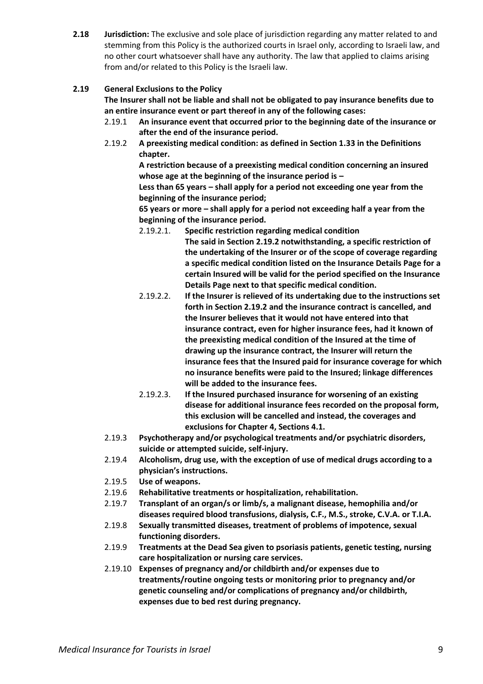**2.18 Jurisdiction:** The exclusive and sole place of jurisdiction regarding any matter related to and stemming from this Policy is the authorized courts in Israel only, according to Israeli law, and no other court whatsoever shall have any authority. The law that applied to claims arising from and/or related to this Policy is the Israeli law.

# <span id="page-8-0"></span>**2.19 General Exclusions to the Policy**

**The Insurer shall not be liable and shall not be obligated to pay insurance benefits due to an entire insurance event or part thereof in any of the following cases:**

- 2.19.1 **An insurance event that occurred prior to the beginning date of the insurance or after the end of the insurance period.**
- 2.19.2 **A preexisting medical condition: as defined in Section 1.33 in the Definitions chapter.**

**A restriction because of a preexisting medical condition concerning an insured whose age at the beginning of the insurance period is –**

**Less than 65 years – shall apply for a period not exceeding one year from the beginning of the insurance period;**

**65 years or more – shall apply for a period not exceeding half a year from the beginning of the insurance period.**

- 2.19.2.1. **Specific restriction regarding medical condition The said in Section 2.19.2 notwithstanding, a specific restriction of the undertaking of the Insurer or of the scope of coverage regarding a specific medical condition listed on the Insurance Details Page for a certain Insured will be valid for the period specified on the Insurance Details Page next to that specific medical condition.**
- 2.19.2.2. **If the Insurer is relieved of its undertaking due to the instructions set forth in Section 2.19.2 and the insurance contract is cancelled, and the Insurer believes that it would not have entered into that insurance contract, even for higher insurance fees, had it known of the preexisting medical condition of the Insured at the time of drawing up the insurance contract, the Insurer will return the insurance fees that the Insured paid for insurance coverage for which no insurance benefits were paid to the Insured; linkage differences will be added to the insurance fees.**
- 2.19.2.3. **If the Insured purchased insurance for worsening of an existing disease for additional insurance fees recorded on the proposal form, this exclusion will be cancelled and instead, the coverages and exclusions for Chapter 4, Sections 4.1.**
- 2.19.3 **Psychotherapy and/or psychological treatments and/or psychiatric disorders, suicide or attempted suicide, self-injury.**
- 2.19.4 **Alcoholism, drug use, with the exception of use of medical drugs according to a physician's instructions.**
- 2.19.5 **Use of weapons.**
- 2.19.6 **Rehabilitative treatments or hospitalization, rehabilitation.**
- 2.19.7 **Transplant of an organ/s or limb/s, a malignant disease, hemophilia and/or diseases required blood transfusions, dialysis, C.F., M.S., stroke, C.V.A. or T.I.A.**
- 2.19.8 **Sexually transmitted diseases, treatment of problems of impotence, sexual functioning disorders.**
- 2.19.9 **Treatments at the Dead Sea given to psoriasis patients, genetic testing, nursing care hospitalization or nursing care services.**
- 2.19.10 **Expenses of pregnancy and/or childbirth and/or expenses due to treatments/routine ongoing tests or monitoring prior to pregnancy and/or genetic counseling and/or complications of pregnancy and/or childbirth, expenses due to bed rest during pregnancy.**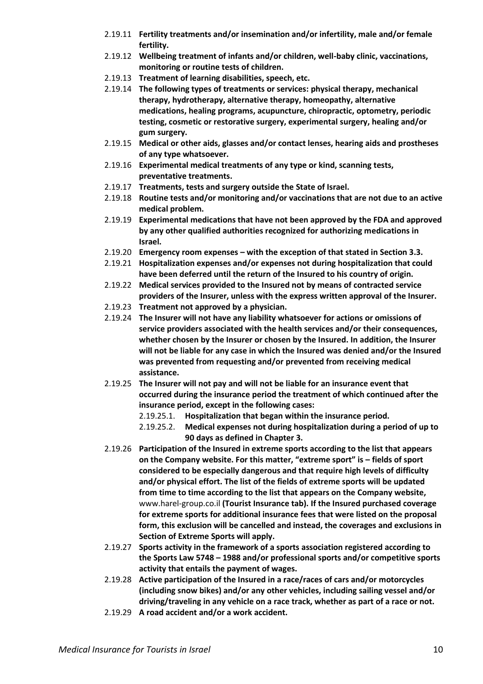- 2.19.11 **Fertility treatments and/or insemination and/or infertility, male and/or female fertility.**
- 2.19.12 **Wellbeing treatment of infants and/or children, well-baby clinic, vaccinations, monitoring or routine tests of children.**
- 2.19.13 **Treatment of learning disabilities, speech, etc.**
- 2.19.14 **The following types of treatments or services: physical therapy, mechanical therapy, hydrotherapy, alternative therapy, homeopathy, alternative medications, healing programs, acupuncture, chiropractic, optometry, periodic testing, cosmetic or restorative surgery, experimental surgery, healing and/or gum surgery.**
- 2.19.15 **Medical or other aids, glasses and/or contact lenses, hearing aids and prostheses of any type whatsoever.**
- 2.19.16 **Experimental medical treatments of any type or kind, scanning tests, preventative treatments.**
- 2.19.17 **Treatments, tests and surgery outside the State of Israel.**
- 2.19.18 **Routine tests and/or monitoring and/or vaccinations that are not due to an active medical problem.**
- 2.19.19 **Experimental medications that have not been approved by the FDA and approved by any other qualified authorities recognized for authorizing medications in Israel.**
- 2.19.20 **Emergency room expenses – with the exception of that stated in Section 3.3.**
- 2.19.21 **Hospitalization expenses and/or expenses not during hospitalization that could have been deferred until the return of the Insured to his country of origin.**
- 2.19.22 **Medical services provided to the Insured not by means of contracted service providers of the Insurer, unless with the express written approval of the Insurer.**
- 2.19.23 **Treatment not approved by a physician.**
- 2.19.24 **The Insurer will not have any liability whatsoever for actions or omissions of service providers associated with the health services and/or their consequences, whether chosen by the Insurer or chosen by the Insured. In addition, the Insurer will not be liable for any case in which the Insured was denied and/or the Insured was prevented from requesting and/or prevented from receiving medical assistance.**
- 2.19.25 **The Insurer will not pay and will not be liable for an insurance event that occurred during the insurance period the treatment of which continued after the insurance period, except in the following cases:**
	- 2.19.25.1. **Hospitalization that began within the insurance period.**
	- 2.19.25.2. **Medical expenses not during hospitalization during a period of up to 90 days as defined in Chapter 3.**
- 2.19.26 **Participation of the Insured in extreme sports according to the list that appears on the Company website. For this matter, "extreme sport" is – fields of sport considered to be especially dangerous and that require high levels of difficulty and/or physical effort. The list of the fields of extreme sports will be updated from time to time according to the list that appears on the Company website,**  [www.harel-group.co.il](http://www.harel-group.co.il/) **(Tourist Insurance tab). If the Insured purchased coverage for extreme sports for additional insurance fees that were listed on the proposal form, this exclusion will be cancelled and instead, the coverages and exclusions in Section of Extreme Sports will apply.**
- 2.19.27 **Sports activity in the framework of a sports association registered according to the Sports Law 5748 – 1988 and/or professional sports and/or competitive sports activity that entails the payment of wages.**
- 2.19.28 **Active participation of the Insured in a race/races of cars and/or motorcycles (including snow bikes) and/or any other vehicles, including sailing vessel and/or driving/traveling in any vehicle on a race track, whether as part of a race or not.**
- 2.19.29 **A road accident and/or a work accident.**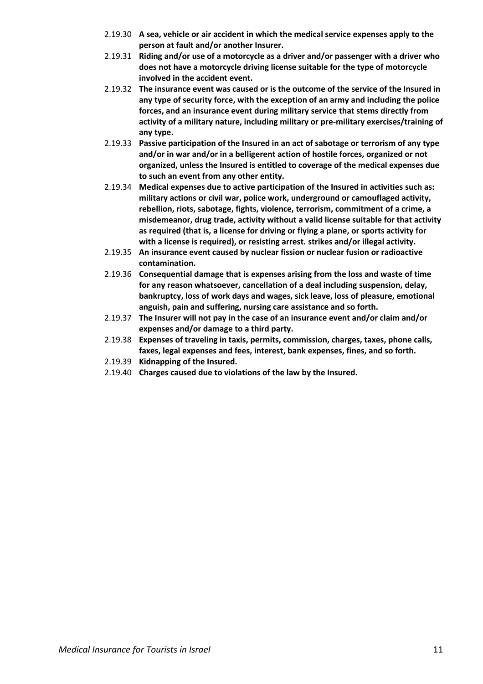- 2.19.30 **A sea, vehicle or air accident in which the medical service expenses apply to the person at fault and/or another Insurer.**
- 2.19.31 **Riding and/or use of a motorcycle as a driver and/or passenger with a driver who does not have a motorcycle driving license suitable for the type of motorcycle involved in the accident event.**
- 2.19.32 **The insurance event was caused or is the outcome of the service of the Insured in any type of security force, with the exception of an army and including the police forces, and an insurance event during military service that stems directly from activity of a military nature, including military or pre-military exercises/training of any type.**
- 2.19.33 **Passive participation of the Insured in an act of sabotage or terrorism of any type and/or in war and/or in a belligerent action of hostile forces, organized or not organized, unless the Insured is entitled to coverage of the medical expenses due to such an event from any other entity.**
- 2.19.34 **Medical expenses due to active participation of the Insured in activities such as: military actions or civil war, police work, underground or camouflaged activity, rebellion, riots, sabotage, fights, violence, terrorism, commitment of a crime, a misdemeanor, drug trade, activity without a valid license suitable for that activity as required (that is, a license for driving or flying a plane, or sports activity for with a license is required), or resisting arrest. strikes and/or illegal activity.**
- 2.19.35 **An insurance event caused by nuclear fission or nuclear fusion or radioactive contamination.**
- 2.19.36 **Consequential damage that is expenses arising from the loss and waste of time for any reason whatsoever, cancellation of a deal including suspension, delay, bankruptcy, loss of work days and wages, sick leave, loss of pleasure, emotional anguish, pain and suffering, nursing care assistance and so forth.**
- 2.19.37 **The Insurer will not pay in the case of an insurance event and/or claim and/or expenses and/or damage to a third party.**
- 2.19.38 **Expenses of traveling in taxis, permits, commission, charges, taxes, phone calls, faxes, legal expenses and fees, interest, bank expenses, fines, and so forth.**
- 2.19.39 **Kidnapping of the Insured.**
- 2.19.40 **Charges caused due to violations of the law by the Insured.**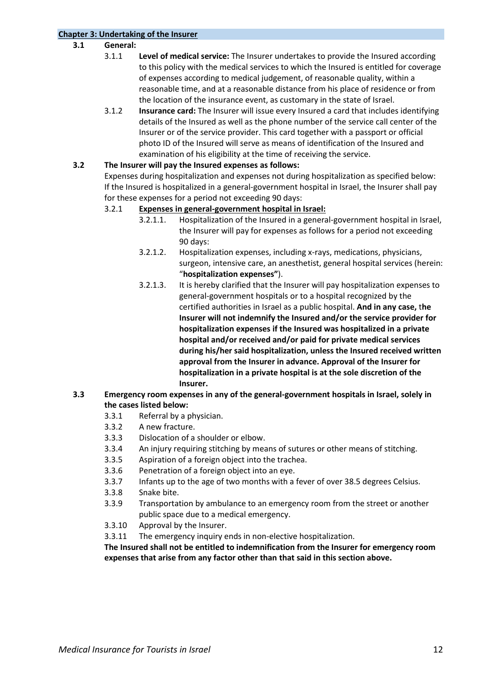# <span id="page-11-0"></span>**Chapter 3: Undertaking of the Insurer**

# **3.1 General:**

- 3.1.1 **Level of medical service:** The Insurer undertakes to provide the Insured according to this policy with the medical services to which the Insured is entitled for coverage of expenses according to medical judgement, of reasonable quality, within a reasonable time, and at a reasonable distance from his place of residence or from the location of the insurance event, as customary in the state of Israel.
- 3.1.2 **Insurance card:** The Insurer will issue every Insured a card that includes identifying details of the Insured as well as the phone number of the service call center of the Insurer or of the service provider. This card together with a passport or official photo ID of the Insured will serve as means of identification of the Insured and examination of his eligibility at the time of receiving the service.

#### **3.2 The Insurer will pay the Insured expenses as follows:**

Expenses during hospitalization and expenses not during hospitalization as specified below: If the Insured is hospitalized in a general-government hospital in Israel, the Insurer shall pay for these expenses for a period not exceeding 90 days:

#### 3.2.1 **Expenses in general-government hospital in Israel:**

- 3.2.1.1. Hospitalization of the Insured in a general-government hospital in Israel, the Insurer will pay for expenses as follows for a period not exceeding 90 days:
- 3.2.1.2. Hospitalization expenses, including x-rays, medications, physicians, surgeon, intensive care, an anesthetist, general hospital services (herein: "**hospitalization expenses"**).
- 3.2.1.3. It is hereby clarified that the Insurer will pay hospitalization expenses to general-government hospitals or to a hospital recognized by the certified authorities in Israel as a public hospital. **And in any case,** t**he Insurer will not indemnify the Insured and/or the service provider for hospitalization expenses if the Insured was hospitalized in a private hospital and/or received and/or paid for private medical services during his/her said hospitalization, unless the Insured received written approval from the Insurer in advance. Approval of the Insurer for hospitalization in a private hospital is at the sole discretion of the Insurer.**

#### **3.3 Emergency room expenses in any of the general-government hospitals in Israel, solely in the cases listed below:**

- 3.3.1 Referral by a physician.
- 3.3.2 A new fracture.
- 3.3.3 Dislocation of a shoulder or elbow.
- 3.3.4 An injury requiring stitching by means of sutures or other means of stitching.
- 3.3.5 Aspiration of a foreign object into the trachea.
- 3.3.6 Penetration of a foreign object into an eye.
- 3.3.7 Infants up to the age of two months with a fever of over 38.5 degrees Celsius.
- 3.3.8 Snake bite.
- 3.3.9 Transportation by ambulance to an emergency room from the street or another public space due to a medical emergency.
- 3.3.10 Approval by the Insurer.
- 3.3.11 The emergency inquiry ends in non-elective hospitalization.

**The Insured shall not be entitled to indemnification from the Insurer for emergency room expenses that arise from any factor other than that said in this section above.**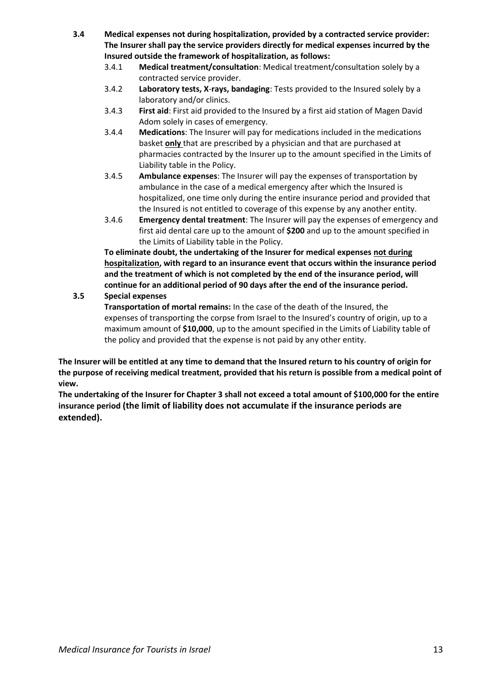- **3.4 Medical expenses not during hospitalization, provided by a contracted service provider: The Insurer shall pay the service providers directly for medical expenses incurred by the Insured outside the framework of hospitalization, as follows:**
	- 3.4.1 **Medical treatment/consultation**: Medical treatment/consultation solely by a contracted service provider.
	- 3.4.2 **Laboratory tests, X**-**rays, bandaging**: Tests provided to the Insured solely by a laboratory and/or clinics.
	- 3.4.3 **First aid**: First aid provided to the Insured by a first aid station of Magen David Adom solely in cases of emergency.
	- 3.4.4 **Medications**: The Insurer will pay for medications included in the medications basket **only** that are prescribed by a physician and that are purchased at pharmacies contracted by the Insurer up to the amount specified in the Limits of Liability table in the Policy.
	- 3.4.5 **Ambulance expenses**: The Insurer will pay the expenses of transportation by ambulance in the case of a medical emergency after which the Insured is hospitalized, one time only during the entire insurance period and provided that the Insured is not entitled to coverage of this expense by any another entity.
	- 3.4.6 **Emergency dental treatment**: The Insurer will pay the expenses of emergency and first aid dental care up to the amount of **\$200** and up to the amount specified in the Limits of Liability table in the Policy.

**To eliminate doubt, the undertaking of the Insurer for medical expenses not during hospitalization, with regard to an insurance event that occurs within the insurance period and the treatment of which is not completed by the end of the insurance period, will continue for an additional period of 90 days after the end of the insurance period.**

# **3.5 Special expenses**

**Transportation of mortal remains:** In the case of the death of the Insured, the expenses of transporting the corpse from Israel to the Insured's country of origin, up to a maximum amount of **\$10,000**, up to the amount specified in the Limits of Liability table of the policy and provided that the expense is not paid by any other entity.

**The Insurer will be entitled at any time to demand that the Insured return to his country of origin for the purpose of receiving medical treatment, provided that his return is possible from a medical point of view.**

**The undertaking of the Insurer for Chapter 3 shall not exceed a total amount of \$100,000 for the entire insurance period (the limit of liability does not accumulate if the insurance periods are extended).**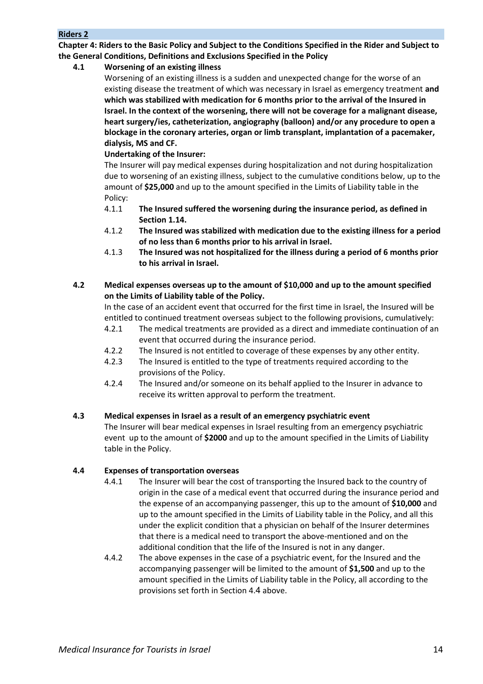**Chapter 4: Riders to the Basic Policy and Subject to the Conditions Specified in the Rider and Subject to the General Conditions, Definitions and Exclusions Specified in the Policy**

# <span id="page-13-0"></span>**4.1 Worsening of an existing illness**

Worsening of an existing illness is a sudden and unexpected change for the worse of an existing disease the treatment of which was necessary in Israel as emergency treatment **and which was stabilized with medication for 6 months prior to the arrival of the Insured in Israel. In the context of the worsening, there will not be coverage for a malignant disease, heart surgery/ies, catheterization, angiography (balloon) and/or any procedure to open a blockage in the coronary arteries, organ or limb transplant, implantation of a pacemaker, dialysis, MS and CF.**

# **Undertaking of the Insurer:**

The Insurer will pay medical expenses during hospitalization and not during hospitalization due to worsening of an existing illness, subject to the cumulative conditions below, up to the amount of **\$25,000** and up to the amount specified in the Limits of Liability table in the Policy:

- 4.1.1 **The Insured suffered the worsening during the insurance period, as defined in Section 1.14.**
- 4.1.2 **The Insured was stabilized with medication due to the existing illness for a period of no less than 6 months prior to his arrival in Israel.**
- 4.1.3 **The Insured was not hospitalized for the illness during a period of 6 months prior to his arrival in Israel.**

# <span id="page-13-1"></span>**4.2 Medical expenses overseas up to the amount of \$10,000 and up to the amount specified on the Limits of Liability table of the Policy.**

In the case of an accident event that occurred for the first time in Israel, the Insured will be entitled to continued treatment overseas subject to the following provisions, cumulatively:

- 4.2.1 The medical treatments are provided as a direct and immediate continuation of an event that occurred during the insurance period.
- 4.2.2 The Insured is not entitled to coverage of these expenses by any other entity.
- 4.2.3 The Insured is entitled to the type of treatments required according to the provisions of the Policy.
- 4.2.4 The Insured and/or someone on its behalf applied to the Insurer in advance to receive its written approval to perform the treatment.

# <span id="page-13-2"></span>**4.3 Medical expenses in Israel as a result of an emergency psychiatric event**

The Insurer will bear medical expenses in Israel resulting from an emergency psychiatric event up to the amount of **\$2000** and up to the amount specified in the Limits of Liability table in the Policy.

# <span id="page-13-3"></span>**4.4 Expenses of transportation overseas**

- 4.4.1 The Insurer will bear the cost of transporting the Insured back to the country of origin in the case of a medical event that occurred during the insurance period and the expense of an accompanying passenger, this up to the amount of **\$10,000** and up to the amount specified in the Limits of Liability table in the Policy, and all this under the explicit condition that a physician on behalf of the Insurer determines that there is a medical need to transport the above-mentioned and on the additional condition that the life of the Insured is not in any danger.
- 4.4.2 The above expenses in the case of a psychiatric event, for the Insured and the accompanying passenger will be limited to the amount of **\$1,500** and up to the amount specified in the Limits of Liability table in the Policy, all according to the provisions set forth in Section 4.4 above.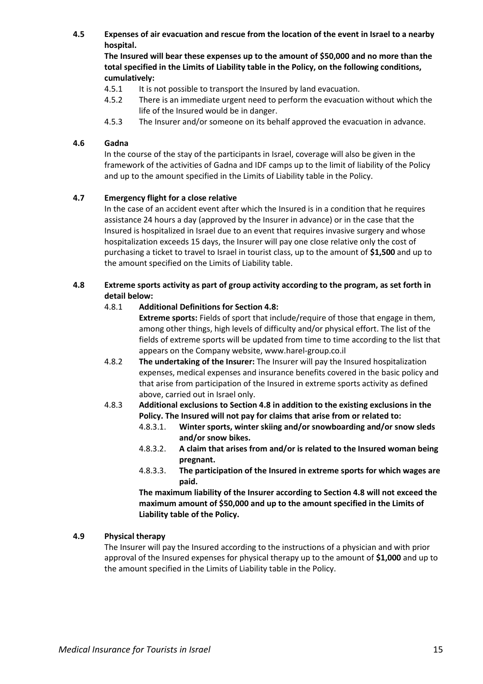<span id="page-14-1"></span>**4.5 Expenses of air evacuation and rescue from the location of the event in Israel to a nearby hospital.**

**The Insured will bear these expenses up to the amount of \$50,000 and no more than the total specified in the Limits of Liability table in the Policy, on the following conditions, cumulatively:**

- 4.5.1 It is not possible to transport the Insured by land evacuation.
- 4.5.2 There is an immediate urgent need to perform the evacuation without which the life of the Insured would be in danger.
- 4.5.3 The Insurer and/or someone on its behalf approved the evacuation in advance.

#### <span id="page-14-2"></span>**4.6 Gadna**

In the course of the stay of the participants in Israel, coverage will also be given in the framework of the activities of Gadna and IDF camps up to the limit of liability of the Policy and up to the amount specified in the Limits of Liability table in the Policy.

#### <span id="page-14-3"></span>**4.7 Emergency flight for a close relative**

In the case of an accident event after which the Insured is in a condition that he requires assistance 24 hours a day (approved by the Insurer in advance) or in the case that the Insured is hospitalized in Israel due to an event that requires invasive surgery and whose hospitalization exceeds 15 days, the Insurer will pay one close relative only the cost of purchasing a ticket to travel to Israel in tourist class, up to the amount of **\$1,500** and up to the amount specified on the Limits of Liability table.

### <span id="page-14-4"></span>**4.8 Extreme sports activity as part of group activity according to the program, as set forth in detail below:**

#### 4.8.1 **Additional Definitions for Section 4.8:**

**Extreme sports:** Fields of sport that include/require of those that engage in them, among other things, high levels of difficulty and/or physical effort. The list of the fields of extreme sports will be updated from time to time according to the list that appears on the Company website, [www.harel-group.co.il](http://www.harel-group.co.il/)

- 4.8.2 **The undertaking of the Insurer:** The Insurer will pay the Insured hospitalization expenses, medical expenses and insurance benefits covered in the basic policy and that arise from participation of the Insured in extreme sports activity as defined above, carried out in Israel only.
- <span id="page-14-0"></span>4.8.3 **Additional exclusions to Section 4.8 in addition to the existing exclusions in the Policy. The Insured will not pay for claims that arise from or related to:**
	- 4.8.3.1. **Winter sports, winter skiing and/or snowboarding and/or snow sleds and/or snow bikes.**
	- 4.8.3.2. **A claim that arises from and/or is related to the Insured woman being pregnant.**
	- 4.8.3.3. **The participation of the Insured in extreme sports for which wages are paid.**

**The maximum liability of the Insurer according to Section 4.8 will not exceed the maximum amount of \$50,000 and up to the amount specified in the Limits of Liability table of the Policy.**

#### <span id="page-14-5"></span>**4.9 Physical therapy**

The Insurer will pay the Insured according to the instructions of a physician and with prior approval of the Insured expenses for physical therapy up to the amount of **\$1,000** and up to the amount specified in the Limits of Liability table in the Policy.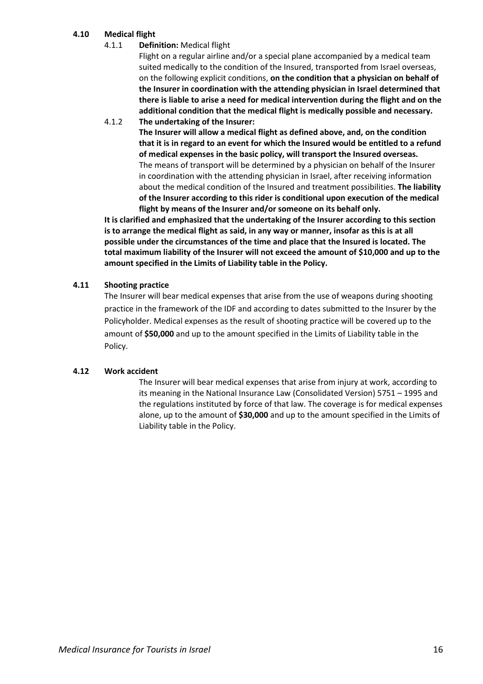# <span id="page-15-0"></span>**4.10 Medical flight**

4.1.1 **Definition:** Medical flight

Flight on a regular airline and/or a special plane accompanied by a medical team suited medically to the condition of the Insured, transported from Israel overseas, on the following explicit conditions, **on the condition that a physician on behalf of the Insurer in coordination with the attending physician in Israel determined that there is liable to arise a need for medical intervention during the flight and on the additional condition that the medical flight is medically possible and necessary.**

4.1.2 **The undertaking of the Insurer:**

**The Insurer will allow a medical flight as defined above, and, on the condition that it is in regard to an event for which the Insured would be entitled to a refund of medical expenses in the basic policy, will transport the Insured overseas.** The means of transport will be determined by a physician on behalf of the Insurer in coordination with the attending physician in Israel, after receiving information about the medical condition of the Insured and treatment possibilities. **The liability of the Insurer according to this rider is conditional upon execution of the medical flight by means of the Insurer and/or someone on its behalf only.**

**It is clarified and emphasized that the undertaking of the Insurer according to this section is to arrange the medical flight as said, in any way or manner, insofar as this is at all possible under the circumstances of the time and place that the Insured is located. The total maximum liability of the Insurer will not exceed the amount of \$10,000 and up to the amount specified in the Limits of Liability table in the Policy.**

# <span id="page-15-1"></span>**4.11 Shooting practice**

The Insurer will bear medical expenses that arise from the use of weapons during shooting practice in the framework of the IDF and according to dates submitted to the Insurer by the Policyholder. Medical expenses as the result of shooting practice will be covered up to the amount of **\$50,000** and up to the amount specified in the Limits of Liability table in the Policy.

# <span id="page-15-2"></span>**4.12 Work accident**

The Insurer will bear medical expenses that arise from injury at work, according to its meaning in the National Insurance Law (Consolidated Version) 5751 – 1995 and the regulations instituted by force of that law. The coverage is for medical expenses alone, up to the amount of **\$30,000** and up to the amount specified in the Limits of Liability table in the Policy.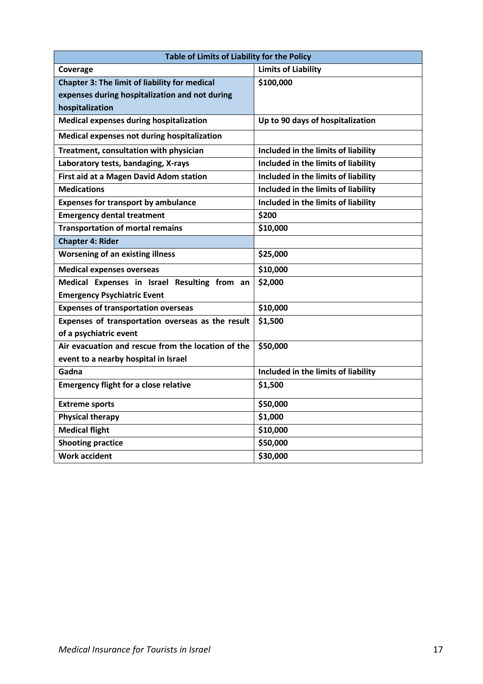| Table of Limits of Liability for the Policy        |                                     |  |  |  |
|----------------------------------------------------|-------------------------------------|--|--|--|
| Coverage                                           | <b>Limits of Liability</b>          |  |  |  |
| Chapter 3: The limit of liability for medical      | \$100,000                           |  |  |  |
| expenses during hospitalization and not during     |                                     |  |  |  |
| hospitalization                                    |                                     |  |  |  |
| <b>Medical expenses during hospitalization</b>     | Up to 90 days of hospitalization    |  |  |  |
| Medical expenses not during hospitalization        |                                     |  |  |  |
| Treatment, consultation with physician             | Included in the limits of liability |  |  |  |
| Laboratory tests, bandaging, X-rays                | Included in the limits of liability |  |  |  |
| First aid at a Magen David Adom station            | Included in the limits of liability |  |  |  |
| <b>Medications</b>                                 | Included in the limits of liability |  |  |  |
| <b>Expenses for transport by ambulance</b>         | Included in the limits of liability |  |  |  |
| <b>Emergency dental treatment</b>                  | \$200                               |  |  |  |
| <b>Transportation of mortal remains</b>            | \$10,000                            |  |  |  |
| <b>Chapter 4: Rider</b>                            |                                     |  |  |  |
| <b>Worsening of an existing illness</b>            | \$25,000                            |  |  |  |
| <b>Medical expenses overseas</b>                   | \$10,000                            |  |  |  |
| Medical Expenses in Israel Resulting from an       | \$2,000                             |  |  |  |
| <b>Emergency Psychiatric Event</b>                 |                                     |  |  |  |
| <b>Expenses of transportation overseas</b>         | \$10,000                            |  |  |  |
| Expenses of transportation overseas as the result  | \$1,500                             |  |  |  |
| of a psychiatric event                             |                                     |  |  |  |
| Air evacuation and rescue from the location of the | \$50,000                            |  |  |  |
| event to a nearby hospital in Israel               |                                     |  |  |  |
| Gadna                                              | Included in the limits of liability |  |  |  |
| <b>Emergency flight for a close relative</b>       | \$1,500                             |  |  |  |
| <b>Extreme sports</b>                              | \$50,000                            |  |  |  |
| <b>Physical therapy</b>                            | \$1,000                             |  |  |  |
| <b>Medical flight</b>                              | \$10,000                            |  |  |  |
| <b>Shooting practice</b>                           | \$50,000                            |  |  |  |
| <b>Work accident</b>                               | \$30,000                            |  |  |  |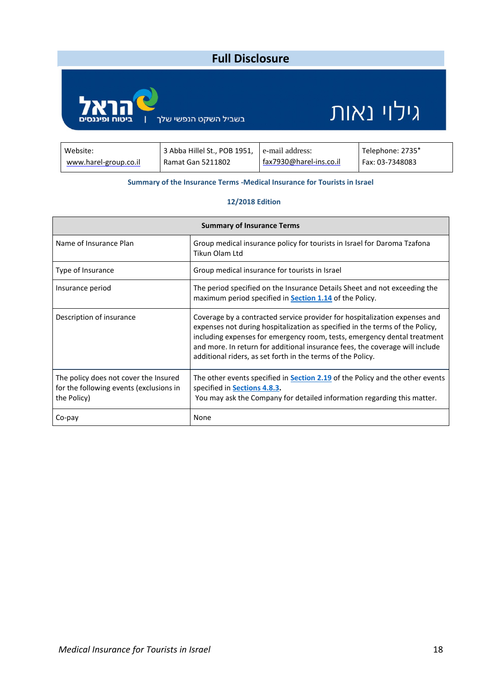#### **Full Disclosure** Ę גילוי נאות בשביל השקט הנפשי שלך Website: 3 Abba Hillel St., POB 1951, e-mail address: Telephone: 2735\* fax7930@harel-ins.co.il [www.harel-group.co.il](http://www.harel-group.co.il/) Ramat Gan 5211802 Fax: 03-7348083

#### **Summary of the Insurance Terms -Medical Insurance for Tourists in Israel**

#### **12/2018 Edition**

| <b>Summary of Insurance Terms</b>                                                               |                                                                                                                                                                                                                                                                                                                                                                                       |  |  |  |
|-------------------------------------------------------------------------------------------------|---------------------------------------------------------------------------------------------------------------------------------------------------------------------------------------------------------------------------------------------------------------------------------------------------------------------------------------------------------------------------------------|--|--|--|
| Name of Insurance Plan                                                                          | Group medical insurance policy for tourists in Israel for Daroma Tzafona<br>Tikun Olam Ltd                                                                                                                                                                                                                                                                                            |  |  |  |
| Type of Insurance                                                                               | Group medical insurance for tourists in Israel                                                                                                                                                                                                                                                                                                                                        |  |  |  |
| Insurance period                                                                                | The period specified on the Insurance Details Sheet and not exceeding the<br>maximum period specified in <b>Section 1.14</b> of the Policy.                                                                                                                                                                                                                                           |  |  |  |
| Description of insurance                                                                        | Coverage by a contracted service provider for hospitalization expenses and<br>expenses not during hospitalization as specified in the terms of the Policy,<br>including expenses for emergency room, tests, emergency dental treatment<br>and more. In return for additional insurance fees, the coverage will include<br>additional riders, as set forth in the terms of the Policy. |  |  |  |
| The policy does not cover the Insured<br>for the following events (exclusions in<br>the Policy) | The other events specified in <b>Section 2.19</b> of the Policy and the other events<br>specified in Sections 4.8.3.<br>You may ask the Company for detailed information regarding this matter.                                                                                                                                                                                       |  |  |  |
| Co-pay                                                                                          | None                                                                                                                                                                                                                                                                                                                                                                                  |  |  |  |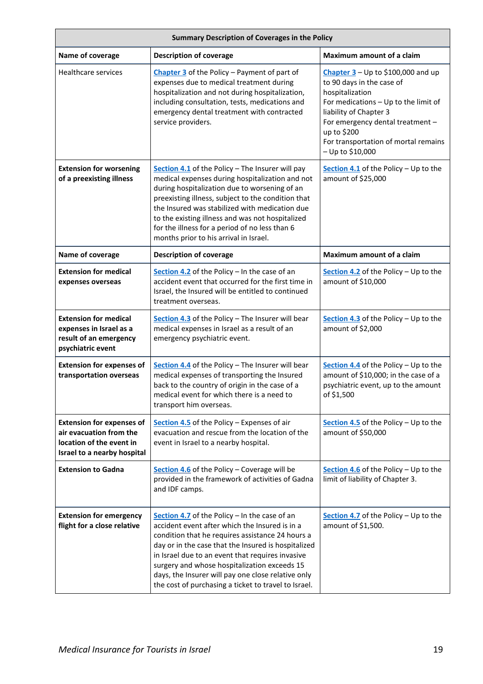| <b>Summary Description of Coverages in the Policy</b>                                                                  |                                                                                                                                                                                                                                                                                                                                                                                                                              |                                                                                                                                                                                                                                                                         |  |  |  |
|------------------------------------------------------------------------------------------------------------------------|------------------------------------------------------------------------------------------------------------------------------------------------------------------------------------------------------------------------------------------------------------------------------------------------------------------------------------------------------------------------------------------------------------------------------|-------------------------------------------------------------------------------------------------------------------------------------------------------------------------------------------------------------------------------------------------------------------------|--|--|--|
| Name of coverage                                                                                                       | <b>Description of coverage</b>                                                                                                                                                                                                                                                                                                                                                                                               | Maximum amount of a claim                                                                                                                                                                                                                                               |  |  |  |
| <b>Healthcare services</b>                                                                                             | Chapter 3 of the Policy - Payment of part of<br>expenses due to medical treatment during<br>hospitalization and not during hospitalization,<br>including consultation, tests, medications and<br>emergency dental treatment with contracted<br>service providers.                                                                                                                                                            | Chapter $3 - Up$ to \$100,000 and up<br>to 90 days in the case of<br>hospitalization<br>For medications - Up to the limit of<br>liability of Chapter 3<br>For emergency dental treatment -<br>up to \$200<br>For transportation of mortal remains<br>$-$ Up to \$10,000 |  |  |  |
| <b>Extension for worsening</b><br>of a preexisting illness                                                             | Section 4.1 of the Policy - The Insurer will pay<br>medical expenses during hospitalization and not<br>during hospitalization due to worsening of an<br>preexisting illness, subject to the condition that<br>the Insured was stabilized with medication due<br>to the existing illness and was not hospitalized<br>for the illness for a period of no less than 6<br>months prior to his arrival in Israel.                 | Section 4.1 of the Policy - Up to the<br>amount of \$25,000                                                                                                                                                                                                             |  |  |  |
| Name of coverage                                                                                                       | <b>Description of coverage</b>                                                                                                                                                                                                                                                                                                                                                                                               | Maximum amount of a claim                                                                                                                                                                                                                                               |  |  |  |
| <b>Extension for medical</b><br>expenses overseas                                                                      | Section 4.2 of the Policy - In the case of an<br>accident event that occurred for the first time in<br>Israel, the Insured will be entitled to continued<br>treatment overseas.                                                                                                                                                                                                                                              | Section 4.2 of the Policy - Up to the<br>amount of \$10,000                                                                                                                                                                                                             |  |  |  |
| <b>Extension for medical</b><br>expenses in Israel as a<br>result of an emergency<br>psychiatric event                 | Section 4.3 of the Policy - The Insurer will bear<br>medical expenses in Israel as a result of an<br>emergency psychiatric event.                                                                                                                                                                                                                                                                                            | Section 4.3 of the Policy - Up to the<br>amount of \$2,000                                                                                                                                                                                                              |  |  |  |
| <b>Extension for expenses of</b><br>transportation overseas                                                            | Section 4.4 of the Policy - The Insurer will bear<br>medical expenses of transporting the Insured<br>back to the country of origin in the case of a<br>medical event for which there is a need to<br>transport him overseas.                                                                                                                                                                                                 | Section 4.4 of the Policy - Up to the<br>amount of \$10,000; in the case of a<br>psychiatric event, up to the amount<br>of \$1,500                                                                                                                                      |  |  |  |
| <b>Extension for expenses of</b><br>air evacuation from the<br>location of the event in<br>Israel to a nearby hospital | Section 4.5 of the Policy - Expenses of air<br>evacuation and rescue from the location of the<br>event in Israel to a nearby hospital.                                                                                                                                                                                                                                                                                       | Section 4.5 of the Policy $-$ Up to the<br>amount of \$50,000                                                                                                                                                                                                           |  |  |  |
| <b>Extension to Gadna</b>                                                                                              | Section 4.6 of the Policy - Coverage will be<br>provided in the framework of activities of Gadna<br>and IDF camps.                                                                                                                                                                                                                                                                                                           | Section 4.6 of the Policy - Up to the<br>limit of liability of Chapter 3.                                                                                                                                                                                               |  |  |  |
| <b>Extension for emergency</b><br>flight for a close relative                                                          | Section 4.7 of the Policy - In the case of an<br>accident event after which the Insured is in a<br>condition that he requires assistance 24 hours a<br>day or in the case that the Insured is hospitalized<br>in Israel due to an event that requires invasive<br>surgery and whose hospitalization exceeds 15<br>days, the Insurer will pay one close relative only<br>the cost of purchasing a ticket to travel to Israel. | Section 4.7 of the Policy $-$ Up to the<br>amount of \$1,500.                                                                                                                                                                                                           |  |  |  |